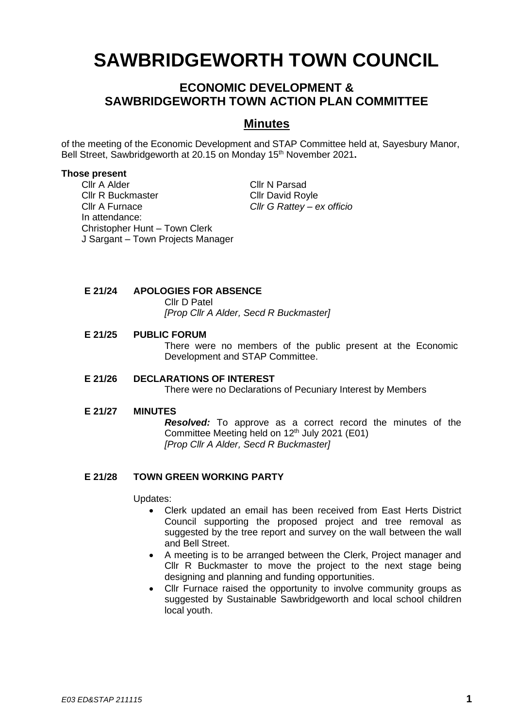# **SAWBRIDGEWORTH TOWN COUNCIL**

# **ECONOMIC DEVELOPMENT & SAWBRIDGEWORTH TOWN ACTION PLAN COMMITTEE**

## **Minutes**

of the meeting of the Economic Development and STAP Committee held at, Sayesbury Manor, Bell Street, Sawbridgeworth at 20.15 on Monday 15 th November 2021**.**

#### **Those present**

Cllr A Alder Cllr N Parsad Cllr R Buckmaster Cllr David Royle Cllr A Furnace *Cllr G Rattey – ex officio* In attendance: Christopher Hunt – Town Clerk J Sargant – Town Projects Manager

**E 21/24 APOLOGIES FOR ABSENCE**

Cllr D Patel

*[Prop Cllr A Alder, Secd R Buckmaster]*

#### **E 21/25 PUBLIC FORUM**

There were no members of the public present at the Economic Development and STAP Committee.

#### **E 21/26 DECLARATIONS OF INTEREST**

There were no Declarations of Pecuniary Interest by Members

#### **E 21/27 MINUTES**

*Resolved:* To approve as a correct record the minutes of the Committee Meeting held on 12 th July 2021 (E01) *[Prop Cllr A Alder, Secd R Buckmaster]*

#### **E 21/28 TOWN GREEN WORKING PARTY**

Updates:

- Clerk updated an email has been received from East Herts District Council supporting the proposed project and tree removal as suggested by the tree report and survey on the wall between the wall and Bell Street.
- A meeting is to be arranged between the Clerk, Project manager and Cllr R Buckmaster to move the project to the next stage being designing and planning and funding opportunities.
- Cllr Furnace raised the opportunity to involve community groups as suggested by Sustainable Sawbridgeworth and local school children local youth.